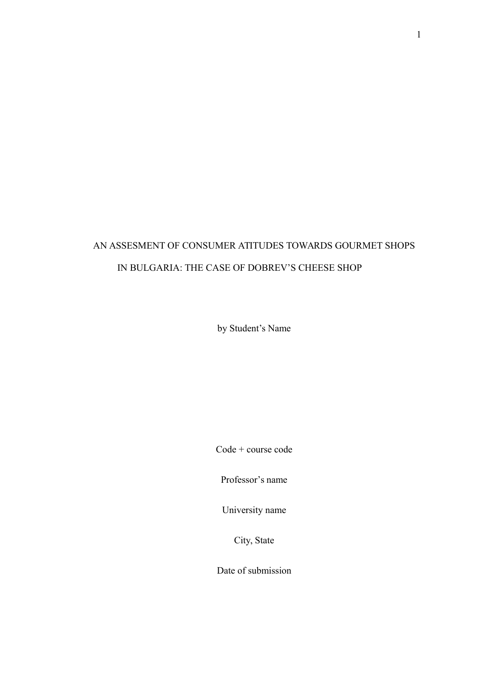# AN ASSESMENT OF CONSUMER ATITUDES TOWARDS GOURMET SHOPS IN BULGARIA: THE CASE OF DOBREV'S CHEESE SHOP

by Student's Name

Code + course code

Professor's name

University name

City, State

Date of submission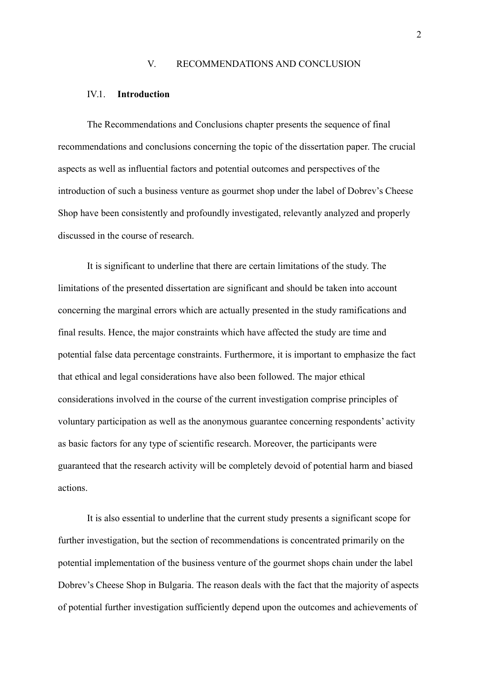#### V. RECOMMENDATIONS AND CONCLUSION

#### IV.1. **Introduction**

The Recommendations and Conclusions chapter presents the sequence of final recommendations and conclusions concerning the topic of the dissertation paper. The crucial aspects as well as influential factors and potential outcomes and perspectives of the introduction of such a business venture as gourmet shop under the label of Dobrev's Cheese Shop have been consistently and profoundly investigated, relevantly analyzed and properly discussed in the course of research.

It is significant to underline that there are certain limitations of the study. The limitations of the presented dissertation are significant and should be taken into account concerning the marginal errors which are actually presented in the study ramifications and final results. Hence, the major constraints which have affected the study are time and potential false data percentage constraints. Furthermore, it is important to emphasize the fact that ethical and legal considerations have also been followed. The major ethical considerations involved in the course of the current investigation comprise principles of voluntary participation as well as the anonymous guarantee concerning respondents' activity as basic factors for any type of scientific research. Moreover, the participants were guaranteed that the research activity will be completely devoid of potential harm and biased actions.

It is also essential to underline that the current study presents a significant scope for further investigation, but the section of recommendations is concentrated primarily on the potential implementation of the business venture of the gourmet shops chain under the label Dobrev's Cheese Shop in Bulgaria. The reason deals with the fact that the majority of aspects of potential further investigation sufficiently depend upon the outcomes and achievements of

2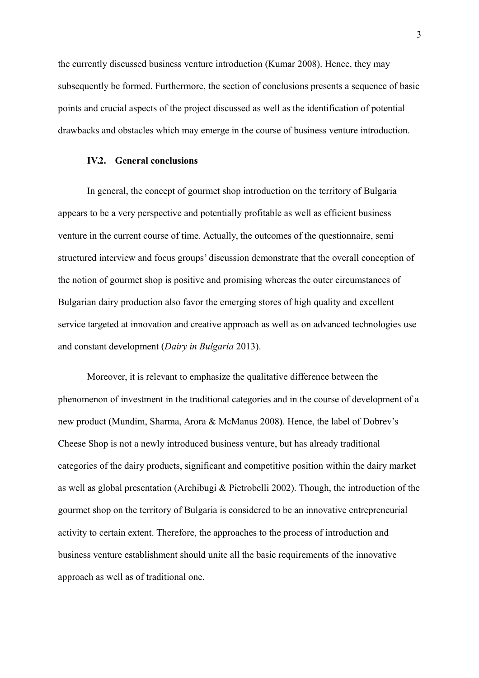the currently discussed business venture introduction (Kumar 2008). Hence, they may subsequently be formed. Furthermore, the section of conclusions presents a sequence of basic points and crucial aspects of the project discussed as well as the identification of potential drawbacks and obstacles which may emerge in the course of business venture introduction.

#### **IV.2. General conclusions**

In general, the concept of gourmet shop introduction on the territory of Bulgaria appears to be a very perspective and potentially profitable as well as efficient business venture in the current course of time. Actually, the outcomes of the questionnaire, semi structured interview and focus groups' discussion demonstrate that the overall conception of the notion of gourmet shop is positive and promising whereas the outer circumstances of Bulgarian dairy production also favor the emerging stores of high quality and excellent service targeted at innovation and creative approach as well as on advanced technologies use and constant development (*Dairy in Bulgaria* 2013).

Moreover, it is relevant to emphasize the qualitative difference between the phenomenon of investment in the traditional categories and in the course of development of a new product (Mundim, Sharma, Arora & McManus 2008**)**. Hence, the label of Dobrev's Cheese Shop is not a newly introduced business venture, but has already traditional categories of the dairy products, significant and competitive position within the dairy market as well as global presentation (Archibugi & Pietrobelli 2002). Though, the introduction of the gourmet shop on the territory of Bulgaria is considered to be an innovative entrepreneurial activity to certain extent. Therefore, the approaches to the process of introduction and business venture establishment should unite all the basic requirements of the innovative approach as well as of traditional one.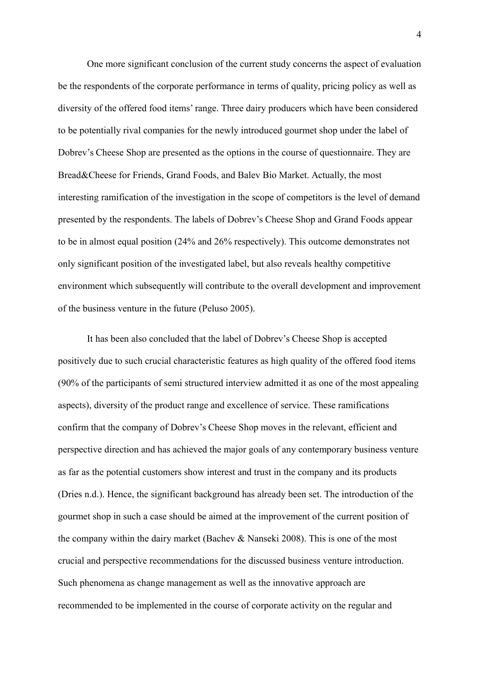One more significant conclusion of the current study concerns the aspect of evaluation be the respondents of the corporate performance in terms of quality, pricing policy as well as diversity of the offered food items' range. Three dairy producers which have been considered to be potentially rival companies for the newly introduced gourmet shop under the label of Dobrev's Cheese Shop are presented as the options in the course of questionnaire. They are Bread&Cheese for Friends, Grand Foods, and Balev Bio Market. Actually, the most interesting ramification of the investigation in the scope of competitors is the level of demand presented by the respondents. The labels of Dobrev's Cheese Shop and Grand Foods appear to be in almost equal position (24% and 26% respectively). This outcome demonstrates not only significant position of the investigated label, but also reveals healthy competitive environment which subsequently will contribute to the overall development and improvement of the business venture in the future (Peluso 2005).

It has been also concluded that the label of Dobrev's Cheese Shop is accepted positively due to such crucial characteristic features as high quality of the offered food items (90% of the participants of semi structured interview admitted it as one of the most appealing aspects), diversity of the product range and excellence of service. These ramifications confirm that the company of Dobrev's Cheese Shop moves in the relevant, efficient and perspective direction and has achieved the major goals of any contemporary business venture as far as the potential customers show interest and trust in the company and its products (Dries n.d.). Hence, the significant background has already been set. The introduction of the gourmet shop in such a case should be aimed at the improvement of the current position of the company within the dairy market (Bachev & Nanseki 2008). This is one of the most crucial and perspective recommendations for the discussed business venture introduction. Such phenomena as change management as well as the innovative approach are recommended to be implemented in the course of corporate activity on the regular and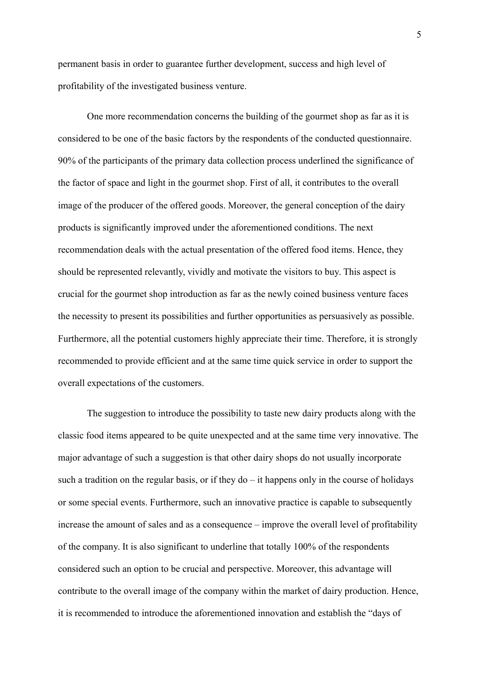permanent basis in order to guarantee further development, success and high level of profitability of the investigated business venture.

One more recommendation concerns the building of the gourmet shop as far as it is considered to be one of the basic factors by the respondents of the conducted questionnaire. 90% of the participants of the primary data collection process underlined the significance of the factor of space and light in the gourmet shop. First of all, it contributes to the overall image of the producer of the offered goods. Moreover, the general conception of the dairy products is significantly improved under the aforementioned conditions. The next recommendation deals with the actual presentation of the offered food items. Hence, they should be represented relevantly, vividly and motivate the visitors to buy. This aspect is crucial for the gourmet shop introduction as far as the newly coined business venture faces the necessity to present its possibilities and further opportunities as persuasively as possible. Furthermore, all the potential customers highly appreciate their time. Therefore, it is strongly recommended to provide efficient and at the same time quick service in order to support the overall expectations of the customers.

The suggestion to introduce the possibility to taste new dairy products along with the classic food items appeared to be quite unexpected and at the same time very innovative. The major advantage of such a suggestion is that other dairy shops do not usually incorporate such a tradition on the regular basis, or if they  $d\sigma - i\tau$  happens only in the course of holidays or some special events. Furthermore, such an innovative practice is capable to subsequently increase the amount of sales and as a consequence – improve the overall level of profitability of the company. It is also significant to underline that totally 100% of the respondents considered such an option to be crucial and perspective. Moreover, this advantage will contribute to the overall image of the company within the market of dairy production. Hence, it is recommended to introduce the aforementioned innovation and establish the "days of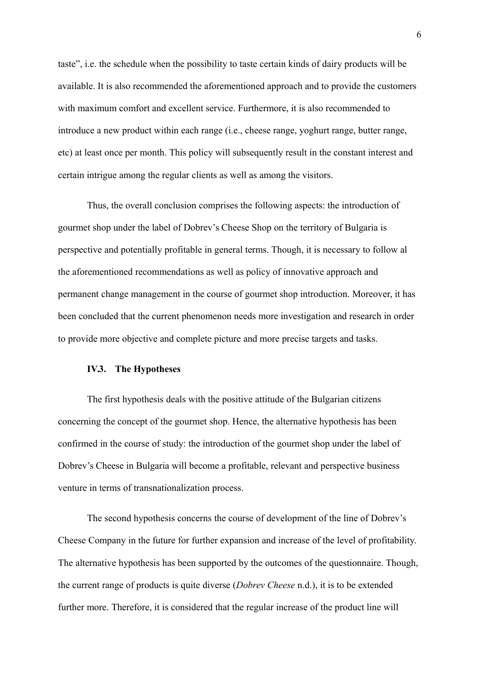taste", i.e. the schedule when the possibility to taste certain kinds of dairy products will be available. It is also recommended the aforementioned approach and to provide the customers with maximum comfort and excellent service. Furthermore, it is also recommended to introduce a new product within each range (i.e., cheese range, yoghurt range, butter range, etc) at least once per month. This policy will subsequently result in the constant interest and certain intrigue among the regular clients as well as among the visitors.

Thus, the overall conclusion comprises the following aspects: the introduction of gourmet shop under the label of Dobrev's Cheese Shop on the territory of Bulgaria is perspective and potentially profitable in general terms. Though, it is necessary to follow al the aforementioned recommendations as well as policy of innovative approach and permanent change management in the course of gourmet shop introduction. Moreover, it has been concluded that the current phenomenon needs more investigation and research in order to provide more objective and complete picture and more precise targets and tasks.

#### **IV.3. The Hypotheses**

The first hypothesis deals with the positive attitude of the Bulgarian citizens concerning the concept of the gourmet shop. Hence, the alternative hypothesis has been confirmed in the course of study: the introduction of the gourmet shop under the label of Dobrev's Cheese in Bulgaria will become a profitable, relevant and perspective business venture in terms of transnationalization process.

The second hypothesis concerns the course of development of the line of Dobrev's Cheese Company in the future for further expansion and increase of the level of profitability. The alternative hypothesis has been supported by the outcomes of the questionnaire. Though, the current range of products is quite diverse (*Dobrev Cheese* n.d.), it is to be extended further more. Therefore, it is considered that the regular increase of the product line will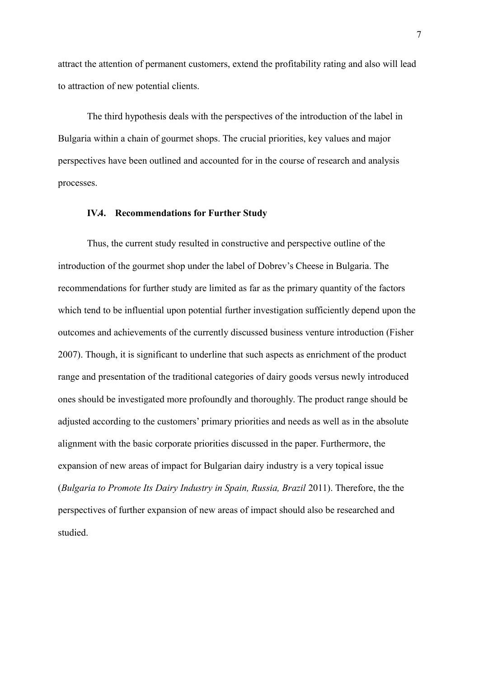attract the attention of permanent customers, extend the profitability rating and also will lead to attraction of new potential clients.

The third hypothesis deals with the perspectives of the introduction of the label in Bulgaria within a chain of gourmet shops. The crucial priorities, key values and major perspectives have been outlined and accounted for in the course of research and analysis processes.

### **IV.4. Recommendations for Further Study**

Thus, the current study resulted in constructive and perspective outline of the introduction of the gourmet shop under the label of Dobrev's Cheese in Bulgaria. The recommendations for further study are limited as far as the primary quantity of the factors which tend to be influential upon potential further investigation sufficiently depend upon the outcomes and achievements of the currently discussed business venture introduction (Fisher 2007). Though, it is significant to underline that such aspects as enrichment of the product range and presentation of the traditional categories of dairy goods versus newly introduced ones should be investigated more profoundly and thoroughly. The product range should be adjusted according to the customers' primary priorities and needs as well as in the absolute alignment with the basic corporate priorities discussed in the paper. Furthermore, the expansion of new areas of impact for Bulgarian dairy industry is a very topical issue (*Bulgaria to Promote Its Dairy Industry in Spain, Russia, Brazil* 2011). Therefore, the the perspectives of further expansion of new areas of impact should also be researched and studied.